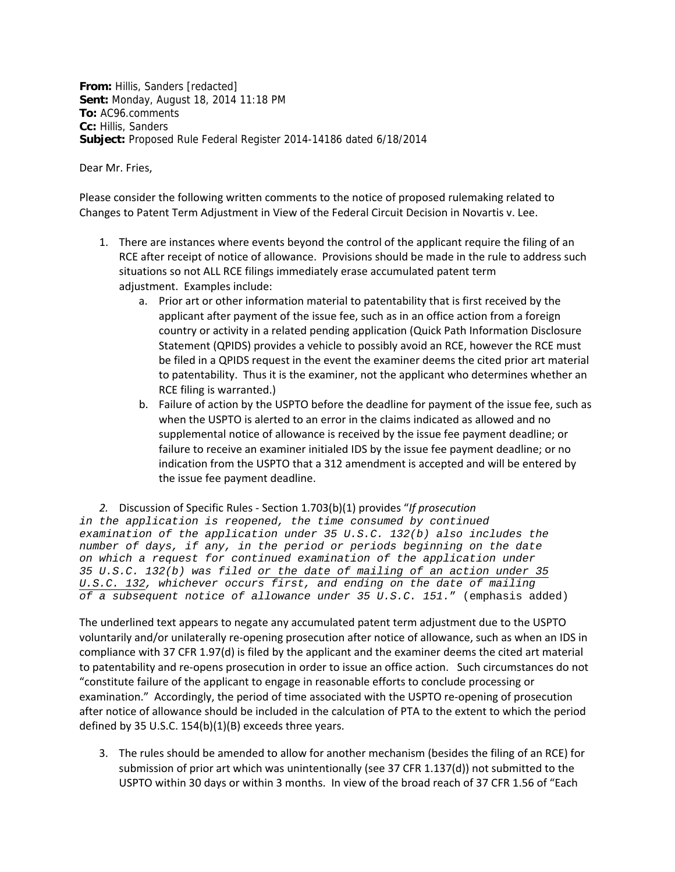**From:** Hillis, Sanders [redacted] **Sent:** Monday, August 18, 2014 11:18 PM **To:** AC96.comments **Cc:** Hillis, Sanders **Subject:** Proposed Rule Federal Register 2014-14186 dated 6/18/2014

Dear Mr. Fries,

 Please consider the following written comments to the notice of proposed rulemaking related to Changes to Patent Term Adjustment in View of the Federal Circuit Decision in Novartis v. Lee.

- 1. There are instances where events beyond the control of the applicant require the filing of an RCE after receipt of notice of allowance. Provisions should be made in the rule to address such situations so not ALL RCE filings immediately erase accumulated patent term adjustment. Examples include:
	- a. Prior art or other information material to patentability that is first received by the applicant after payment of the issue fee, such as in an office action from a foreign country or activity in a related pending application (Quick Path Information Disclosure Statement (QPIDS) provides a vehicle to possibly avoid an RCE, however the RCE must be filed in a QPIDS request in the event the examiner deems the cited prior art material to patentability. Thus it is the examiner, not the applicant who determines whether an RCE filing is warranted.)
	- b. Failure of action by the USPTO before the deadline for payment of the issue fee, such as when the USPTO is alerted to an error in the claims indicated as allowed and no supplemental notice of allowance is received by the issue fee payment deadline; or failure to receive an examiner initialed IDS by the issue fee payment deadline; or no indication from the USPTO that a 312 amendment is accepted and will be entered by the issue fee payment deadline.

 *2.* Discussion of Specific Rules ‐ Section 1.703(b)(1) provides "*If prosecution*

*in the application is reopened, the time consumed by continued examination of the application under 35 U.S.C. 132(b) also includes the number of days, if any, in the period or periods beginning on the date on which a request for continued examination of the application under 35 U.S.C. 132(b) was filed or the date of mailing of an action under 35 U.S.C. 132, whichever occurs first, and ending on the date of mailing of a subsequent notice of allowance under 35 U.S.C. 151.*" (emphasis added)

 The underlined text appears to negate any accumulated patent term adjustment due to the USPTO voluntarily and/or unilaterally re‐opening prosecution after notice of allowance, such as when an IDS in compliance with 37 CFR 1.97(d) is filed by the applicant and the examiner deems the cited art material to patentability and re‐opens prosecution in order to issue an office action. Such circumstances do not "constitute failure of the applicant to engage in reasonable efforts to conclude processing or examination." Accordingly, the period of time associated with the USPTO re‐opening of prosecution after notice of allowance should be included in the calculation of PTA to the extent to which the period defined by 35 U.S.C. 154(b)(1)(B) exceeds three years.

3. The rules should be amended to allow for another mechanism (besides the filing of an RCE) for submission of prior art which was unintentionally (see 37 CFR 1.137(d)) not submitted to the USPTO within 30 days or within 3 months. In view of the broad reach of 37 CFR 1.56 of "Each